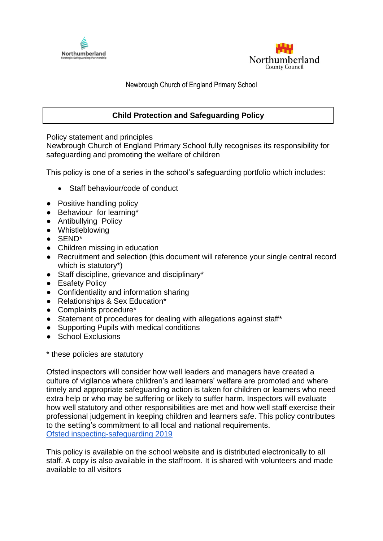



Newbrough Church of England Primary School

# **Child Protection and Safeguarding Policy**

Policy statement and principles

Newbrough Church of England Primary School fully recognises its responsibility for safeguarding and promoting the welfare of children

This policy is one of a series in the school's safeguarding portfolio which includes:

- Staff behaviour/code of conduct
- Positive handling policy
- Behaviour for learning\*
- Antibullying Policy
- Whistleblowing
- SEND\*
- Children missing in education
- Recruitment and selection (this document will reference your single central record which is statutory\*)
- Staff discipline, grievance and disciplinary\*
- Esafety Policy
- Confidentiality and information sharing
- Relationships & Sex Education<sup>\*</sup>
- Complaints procedure\*
- Statement of procedures for dealing with allegations against staff\*
- Supporting Pupils with medical conditions
- School Exclusions

\* these policies are statutory

Ofsted inspectors will consider how well leaders and managers have created a culture of vigilance where children's and learners' welfare are promoted and where timely and appropriate safeguarding action is taken for children or learners who need extra help or who may be suffering or likely to suffer harm. Inspectors will evaluate how well statutory and other responsibilities are met and how well staff exercise their professional judgement in keeping children and learners safe. This policy contributes to the setting's commitment to all local and national requirements. [Ofsted inspecting-safeguarding 2019](https://www.gov.uk/government/publications/inspecting-safeguarding-in-early-years-education-and-skills-from-september-2015)

This policy is available on the school website and is distributed electronically to all staff. A copy is also available in the staffroom. It is shared with volunteers and made available to all visitors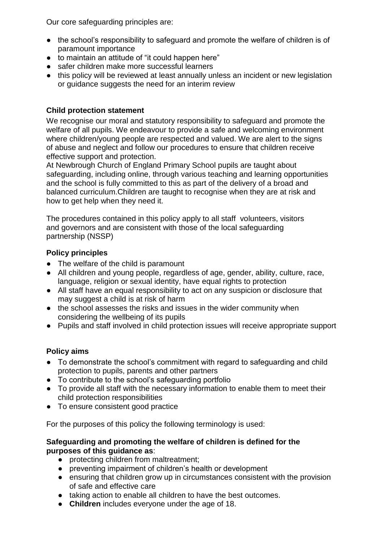Our core safeguarding principles are:

- the school's responsibility to safeguard and promote the welfare of children is of paramount importance
- to maintain an attitude of "it could happen here"
- safer children make more successful learners
- this policy will be reviewed at least annually unless an incident or new legislation or guidance suggests the need for an interim review

# **Child protection statement**

We recognise our moral and statutory responsibility to safeguard and promote the welfare of all pupils. We endeavour to provide a safe and welcoming environment where children/young people are respected and valued. We are alert to the signs of abuse and neglect and follow our procedures to ensure that children receive effective support and protection.

At Newbrough Church of England Primary School pupils are taught about safeguarding, including online, through various teaching and learning opportunities and the school is fully committed to this as part of the delivery of a broad and balanced curriculum.Children are taught to recognise when they are at risk and how to get help when they need it.

The procedures contained in this policy apply to all staff volunteers, visitors and governors and are consistent with those of the local safeguarding partnership (NSSP)

# **Policy principles**

- The welfare of the child is paramount
- All children and young people, regardless of age, gender, ability, culture, race, language, religion or sexual identity, have equal rights to protection
- All staff have an equal responsibility to act on any suspicion or disclosure that may suggest a child is at risk of harm
- the school assesses the risks and issues in the wider community when considering the wellbeing of its pupils
- Pupils and staff involved in child protection issues will receive appropriate support

# **Policy aims**

- To demonstrate the school's commitment with regard to safeguarding and child protection to pupils, parents and other partners
- To contribute to the school's safeguarding portfolio
- To provide all staff with the necessary information to enable them to meet their child protection responsibilities
- To ensure consistent good practice

For the purposes of this policy the following terminology is used:

#### **Safeguarding and promoting the welfare of children is defined for the purposes of this guidance as**:

- protecting children from maltreatment;
- preventing impairment of children's health or development
- ensuring that children grow up in circumstances consistent with the provision of safe and effective care
- taking action to enable all children to have the best outcomes.
- **Children** includes everyone under the age of 18.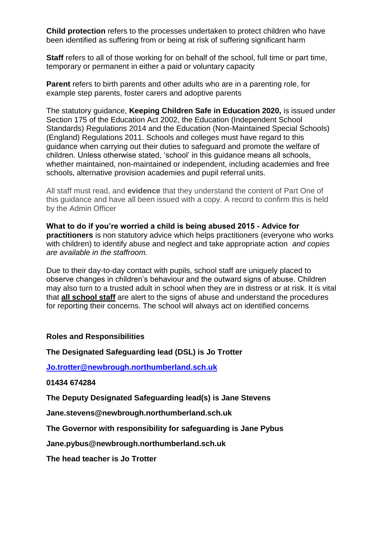**Child protection** refers to the processes undertaken to protect children who have been identified as suffering from or being at risk of suffering significant harm

**Staff** refers to all of those working for on behalf of the school, full time or part time, temporary or permanent in either a paid or voluntary capacity

**Parent** refers to birth parents and other adults who are in a parenting role, for example step parents, foster carers and adoptive parents

The statutory guidance, **Keeping Children Safe in Education 2020,** is issued under Section 175 of the Education Act 2002, the Education (Independent School Standards) Regulations 2014 and the Education (Non-Maintained Special Schools) (England) Regulations 2011. Schools and colleges must have regard to this guidance when carrying out their duties to safeguard and promote the welfare of children. Unless otherwise stated, 'school' in this guidance means all schools, whether maintained, non-maintained or independent, including academies and free schools, alternative provision academies and pupil referral units.

All staff must read, and **evidence** that they understand the content of Part One of this guidance and have all been issued with a copy. A record to confirm this is held by the Admin Officer

**What to do if you're worried a child is being abused 2015 - Advice for practitioners** is non statutory advice which helps practitioners (everyone who works with children) to identify abuse and neglect and take appropriate action *and copies are available in the staffroom.*

Due to their day-to-day contact with pupils, school staff are uniquely placed to observe changes in children's behaviour and the outward signs of abuse. Children may also turn to a trusted adult in school when they are in distress or at risk. It is vital that **all school staff** are alert to the signs of abuse and understand the procedures for reporting their concerns. The school will always act on identified concerns

#### **Roles and Responsibilities**

**The Designated Safeguarding lead (DSL) is Jo Trotter**

**[Jo.trotter@newbrough.northumberland.sch.uk](mailto:Jo.trotter@newbrough.northumberland.sch.uk)**

**01434 674284**

**The Deputy Designated Safeguarding lead(s) is Jane Stevens**

**Jane.stevens@newbrough.northumberland.sch.uk**

**The Governor with responsibility for safeguarding is Jane Pybus**

**Jane.pybus@newbrough.northumberland.sch.uk**

**The head teacher is Jo Trotter**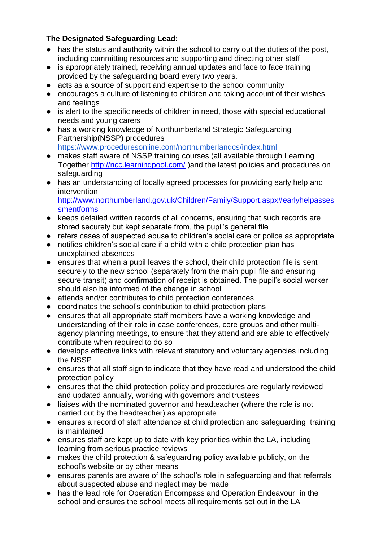# **The Designated Safeguarding Lead:**

- has the status and authority within the school to carry out the duties of the post, including committing resources and supporting and directing other staff
- is appropriately trained, receiving annual updates and face to face training provided by the safeguarding board every two years.
- acts as a source of support and expertise to the school community
- encourages a culture of listening to children and taking account of their wishes and feelings
- is alert to the specific needs of children in need, those with special educational needs and young carers
- has a working knowledge of Northumberland Strategic Safeguarding Partnership(NSSP) procedures <https://www.proceduresonline.com/northumberlandcs/index.html>
- makes staff aware of NSSP training courses (all available through Learning Together<http://ncc.learningpool.com/> )and the latest policies and procedures on safeguarding
- has an understanding of locally agreed processes for providing early help and intervention

[http://www.northumberland.gov.uk/Children/Family/Support.aspx#earlyhelpasses](http://www.northumberland.gov.uk/Children/Family/Support.aspx#earlyhelpassessmentforms) [smentforms](http://www.northumberland.gov.uk/Children/Family/Support.aspx#earlyhelpassessmentforms)

- keeps detailed written records of all concerns, ensuring that such records are stored securely but kept separate from, the pupil's general file
- refers cases of suspected abuse to children's social care or police as appropriate
- notifies children's social care if a child with a child protection plan has unexplained absences
- ensures that when a pupil leaves the school, their child protection file is sent securely to the new school (separately from the main pupil file and ensuring secure transit) and confirmation of receipt is obtained. The pupil's social worker should also be informed of the change in school
- attends and/or contributes to child protection conferences
- coordinates the school's contribution to child protection plans
- ensures that all appropriate staff members have a working knowledge and understanding of their role in case conferences, core groups and other multiagency planning meetings, to ensure that they attend and are able to effectively contribute when required to do so
- develops effective links with relevant statutory and voluntary agencies including the NSSP
- ensures that all staff sign to indicate that they have read and understood the child protection policy
- ensures that the child protection policy and procedures are regularly reviewed and updated annually, working with governors and trustees
- liaises with the nominated governor and headteacher (where the role is not carried out by the headteacher) as appropriate
- ensures a record of staff attendance at child protection and safeguarding training is maintained
- ensures staff are kept up to date with key priorities within the LA, including learning from serious practice reviews
- makes the child protection & safeguarding policy available publicly, on the school's website or by other means
- ensures parents are aware of the school's role in safeguarding and that referrals about suspected abuse and neglect may be made
- has the lead role for Operation Encompass and Operation Endeavour in the school and ensures the school meets all requirements set out in the LA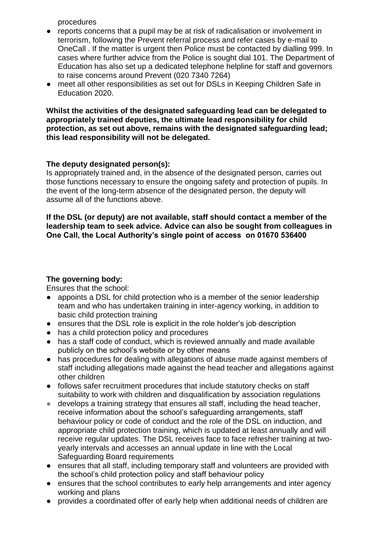procedures

- reports concerns that a pupil may be at risk of radicalisation or involvement in terrorism, following the Prevent referral process and refer cases by e-mail to OneCall . If the matter is urgent then Police must be contacted by dialling 999. In cases where further advice from the Police is sought dial 101. The Department of Education has also set up a dedicated telephone helpline for staff and governors to raise concerns around Prevent (020 7340 7264)
- meet all other responsibilities as set out for DSLs in Keeping Children Safe in Education 2020.

#### **Whilst the activities of the designated safeguarding lead can be delegated to appropriately trained deputies, the ultimate lead responsibility for child protection, as set out above, remains with the designated safeguarding lead; this lead responsibility will not be delegated.**

# **The deputy designated person(s):**

Is appropriately trained and, in the absence of the designated person, carries out those functions necessary to ensure the ongoing safety and protection of pupils. In the event of the long-term absence of the designated person, the deputy will assume all of the functions above.

#### **If the DSL (or deputy) are not available, staff should contact a member of the leadership team to seek advice. Advice can also be sought from colleagues in One Call, the Local Authority's single point of access on 01670 536400**

# **The governing body:**

Ensures that the school:

- appoints a DSL for child protection who is a member of the senior leadership team and who has undertaken training in inter-agency working, in addition to basic child protection training
- ensures that the DSL role is explicit in the role holder's job description
- has a child protection policy and procedures
- has a staff code of conduct, which is reviewed annually and made available publicly on the school's website or by other means
- has procedures for dealing with allegations of abuse made against members of staff including allegations made against the head teacher and allegations against other children
- follows safer recruitment procedures that include statutory checks on staff suitability to work with children and disqualification by association regulations
- develops a training strategy that ensures all staff, including the head teacher. receive information about the school's safeguarding arrangements, staff behaviour policy or code of conduct and the role of the DSL on induction, and appropriate child protection training, which is updated at least annually and will receive regular updates. The DSL receives face to face refresher training at twoyearly intervals and accesses an annual update in line with the Local Safeguarding Board requirements
- ensures that all staff, including temporary staff and volunteers are provided with the school's child protection policy and staff behaviour policy
- ensures that the school contributes to early help arrangements and inter agency working and plans
- provides a coordinated offer of early help when additional needs of children are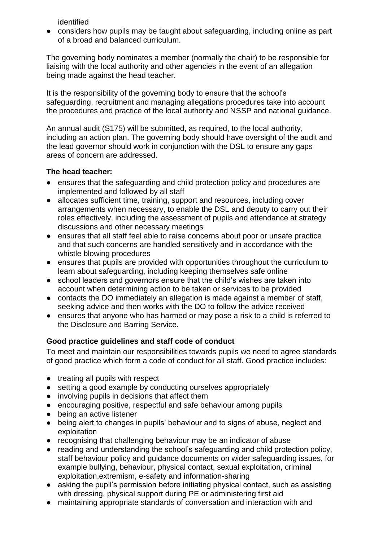identified

● considers how pupils may be taught about safeguarding, including online as part of a broad and balanced curriculum.

The governing body nominates a member (normally the chair) to be responsible for liaising with the local authority and other agencies in the event of an allegation being made against the head teacher.

It is the responsibility of the governing body to ensure that the school's safeguarding, recruitment and managing allegations procedures take into account the procedures and practice of the local authority and NSSP and national guidance.

An annual audit (S175) will be submitted, as required, to the local authority, including an action plan. The governing body should have oversight of the audit and the lead governor should work in conjunction with the DSL to ensure any gaps areas of concern are addressed.

### **The head teacher:**

- ensures that the safeguarding and child protection policy and procedures are implemented and followed by all staff
- allocates sufficient time, training, support and resources, including cover arrangements when necessary, to enable the DSL and deputy to carry out their roles effectively, including the assessment of pupils and attendance at strategy discussions and other necessary meetings
- ensures that all staff feel able to raise concerns about poor or unsafe practice and that such concerns are handled sensitively and in accordance with the whistle blowing procedures
- ensures that pupils are provided with opportunities throughout the curriculum to learn about safeguarding, including keeping themselves safe online
- school leaders and governors ensure that the child's wishes are taken into account when determining action to be taken or services to be provided
- contacts the DO immediately an allegation is made against a member of staff, seeking advice and then works with the DO to follow the advice received
- ensures that anyone who has harmed or may pose a risk to a child is referred to the Disclosure and Barring Service.

# **Good practice guidelines and staff code of conduct**

To meet and maintain our responsibilities towards pupils we need to agree standards of good practice which form a code of conduct for all staff. Good practice includes:

- treating all pupils with respect
- setting a good example by conducting ourselves appropriately
- involving pupils in decisions that affect them
- encouraging positive, respectful and safe behaviour among pupils
- being an active listener
- being alert to changes in pupils' behaviour and to signs of abuse, neglect and exploitation
- recognising that challenging behaviour may be an indicator of abuse
- reading and understanding the school's safeguarding and child protection policy, staff behaviour policy and guidance documents on wider safeguarding issues, for example bullying, behaviour, physical contact, sexual exploitation, criminal exploitation,extremism, e-safety and information-sharing
- asking the pupil's permission before initiating physical contact, such as assisting with dressing, physical support during PE or administering first aid
- maintaining appropriate standards of conversation and interaction with and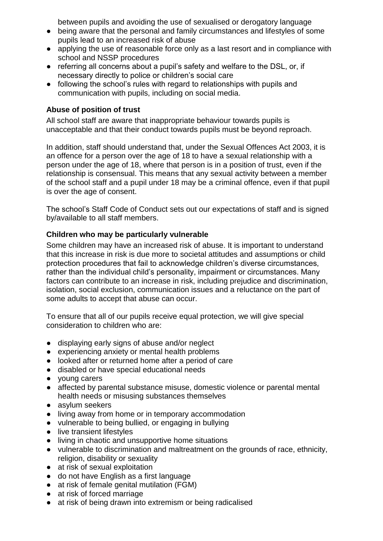between pupils and avoiding the use of sexualised or derogatory language

- being aware that the personal and family circumstances and lifestyles of some pupils lead to an increased risk of abuse
- applying the use of reasonable force only as a last resort and in compliance with school and NSSP procedures
- referring all concerns about a pupil's safety and welfare to the DSL, or, if necessary directly to police or children's social care
- following the school's rules with regard to relationships with pupils and communication with pupils, including on social media.

### **Abuse of position of trust**

All school staff are aware that inappropriate behaviour towards pupils is unacceptable and that their conduct towards pupils must be beyond reproach.

In addition, staff should understand that, under the Sexual Offences Act 2003, it is an offence for a person over the age of 18 to have a sexual relationship with a person under the age of 18, where that person is in a position of trust, even if the relationship is consensual. This means that any sexual activity between a member of the school staff and a pupil under 18 may be a criminal offence, even if that pupil is over the age of consent.

The school's Staff Code of Conduct sets out our expectations of staff and is signed by/available to all staff members.

### **Children who may be particularly vulnerable**

Some children may have an increased risk of abuse. It is important to understand that this increase in risk is due more to societal attitudes and assumptions or child protection procedures that fail to acknowledge children's diverse circumstances, rather than the individual child's personality, impairment or circumstances. Many factors can contribute to an increase in risk, including prejudice and discrimination, isolation, social exclusion, communication issues and a reluctance on the part of some adults to accept that abuse can occur.

To ensure that all of our pupils receive equal protection, we will give special consideration to children who are:

- displaying early signs of abuse and/or neglect
- experiencing anxiety or mental health problems
- looked after or returned home after a period of care
- disabled or have special educational needs
- young carers
- affected by parental substance misuse, domestic violence or parental mental health needs or misusing substances themselves
- asylum seekers
- living away from home or in temporary accommodation
- vulnerable to being bullied, or engaging in bullying
- live transient lifestyles
- living in chaotic and unsupportive home situations
- vulnerable to discrimination and maltreatment on the grounds of race, ethnicity, religion, disability or sexuality
- at risk of sexual exploitation
- do not have English as a first language
- at risk of female genital mutilation (FGM)
- at risk of forced marriage
- at risk of being drawn into extremism or being radicalised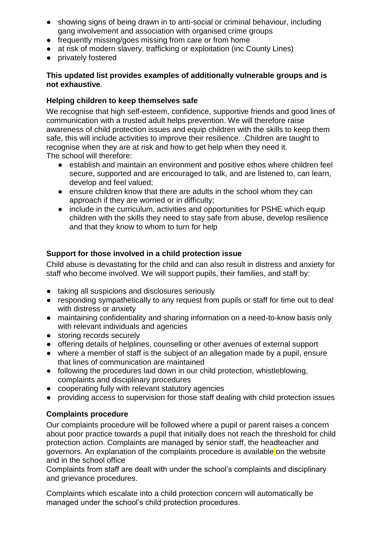- showing signs of being drawn in to anti-social or criminal behaviour, including gang involvement and association with organised crime groups
- frequently missing/goes missing from care or from home
- at risk of modern slavery, trafficking or exploitation (inc County Lines)
- privately fostered

### **This updated list provides examples of additionally vulnerable groups and is not exhaustive**.

### **Helping children to keep themselves safe**

We recognise that high self-esteem, confidence, supportive friends and good lines of communication with a trusted adult helps prevention. We will therefore raise awareness of child protection issues and equip children with the skills to keep them safe, this will include activities to improve their resilience. .Children are taught to recognise when they are at risk and how to get help when they need it. The school will therefore:

- establish and maintain an environment and positive ethos where children feel secure, supported and are encouraged to talk, and are listened to, can learn, develop and feel valued;
- ensure children know that there are adults in the school whom they can approach if they are worried or in difficulty;
- include in the curriculum, activities and opportunities for PSHE which equip children with the skills they need to stay safe from abuse, develop resilience and that they know to whom to turn for help

# **Support for those involved in a child protection issue**

Child abuse is devastating for the child and can also result in distress and anxiety for staff who become involved. We will support pupils, their families, and staff by:

- taking all suspicions and disclosures seriously
- responding sympathetically to any request from pupils or staff for time out to deal with distress or anxiety
- maintaining confidentiality and sharing information on a need-to-know basis only with relevant individuals and agencies
- storing records securely
- offering details of helplines, counselling or other avenues of external support
- where a member of staff is the subject of an allegation made by a pupil, ensure that lines of communication are maintained
- following the procedures laid down in our child protection, whistleblowing, complaints and disciplinary procedures
- cooperating fully with relevant statutory agencies
- providing access to supervision for those staff dealing with child protection issues

# **Complaints procedure**

Our complaints procedure will be followed where a pupil or parent raises a concern about poor practice towards a pupil that initially does not reach the threshold for child protection action. Complaints are managed by senior staff, the headteacher and governors. An explanation of the complaints procedure is available on the website and in the school office

Complaints from staff are dealt with under the school's complaints and disciplinary and grievance procedures.

Complaints which escalate into a child protection concern will automatically be managed under the school's child protection procedures.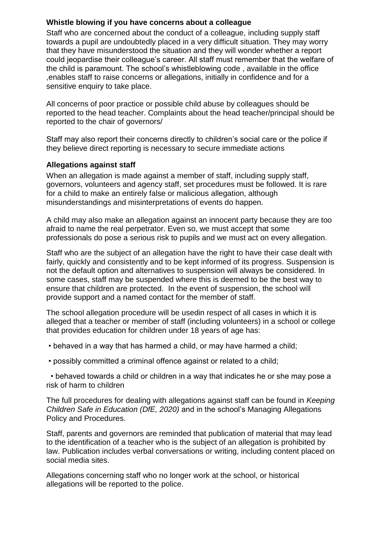### **Whistle blowing if you have concerns about a colleague**

Staff who are concerned about the conduct of a colleague, including supply staff towards a pupil are undoubtedly placed in a very difficult situation. They may worry that they have misunderstood the situation and they will wonder whether a report could jeopardise their colleague's career. All staff must remember that the welfare of the child is paramount. The school's whistleblowing code , available in the office ,enables staff to raise concerns or allegations, initially in confidence and for a sensitive enquiry to take place.

All concerns of poor practice or possible child abuse by colleagues should be reported to the head teacher. Complaints about the head teacher/principal should be reported to the chair of governors/

Staff may also report their concerns directly to children's social care or the police if they believe direct reporting is necessary to secure immediate actions

### **Allegations against staff**

When an allegation is made against a member of staff, including supply staff, governors, volunteers and agency staff, set procedures must be followed. It is rare for a child to make an entirely false or malicious allegation, although misunderstandings and misinterpretations of events do happen.

A child may also make an allegation against an innocent party because they are too afraid to name the real perpetrator. Even so, we must accept that some professionals do pose a serious risk to pupils and we must act on every allegation.

Staff who are the subject of an allegation have the right to have their case dealt with fairly, quickly and consistently and to be kept informed of its progress. Suspension is not the default option and alternatives to suspension will always be considered. In some cases, staff may be suspended where this is deemed to be the best way to ensure that children are protected. In the event of suspension, the school will provide support and a named contact for the member of staff.

The school allegation procedure will be usedin respect of all cases in which it is alleged that a teacher or member of staff (including volunteers) in a school or college that provides education for children under 18 years of age has:

- behaved in a way that has harmed a child, or may have harmed a child;
- possibly committed a criminal offence against or related to a child;

 • behaved towards a child or children in a way that indicates he or she may pose a risk of harm to children

The full procedures for dealing with allegations against staff can be found in *Keeping Children Safe in Education (DfE, 2020)* and in the school's Managing Allegations Policy and Procedures.

Staff, parents and governors are reminded that publication of material that may lead to the identification of a teacher who is the subject of an allegation is prohibited by law. Publication includes verbal conversations or writing, including content placed on social media sites.

Allegations concerning staff who no longer work at the school, or historical allegations will be reported to the police.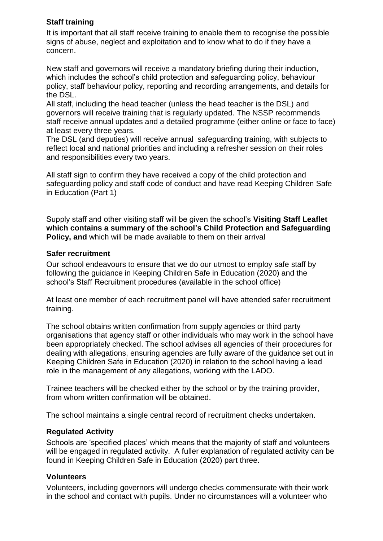### **Staff training**

It is important that all staff receive training to enable them to recognise the possible signs of abuse, neglect and exploitation and to know what to do if they have a concern.

New staff and governors will receive a mandatory briefing during their induction, which includes the school's child protection and safeguarding policy, behaviour policy, staff behaviour policy, reporting and recording arrangements, and details for the DSL.

All staff, including the head teacher (unless the head teacher is the DSL) and governors will receive training that is regularly updated. The NSSP recommends staff receive annual updates and a detailed programme (either online or face to face) at least every three years.

The DSL (and deputies) will receive annual safeguarding training, with subjects to reflect local and national priorities and including a refresher session on their roles and responsibilities every two years.

All staff sign to confirm they have received a copy of the child protection and safeguarding policy and staff code of conduct and have read Keeping Children Safe in Education (Part 1)

Supply staff and other visiting staff will be given the school's **Visiting Staff Leaflet which contains a summary of the school's Child Protection and Safeguarding Policy, and** which will be made available to them on their arrival

### **Safer recruitment**

Our school endeavours to ensure that we do our utmost to employ safe staff by following the guidance in Keeping Children Safe in Education (2020) and the school's Staff Recruitment procedures (available in the school office)

At least one member of each recruitment panel will have attended safer recruitment training.

The school obtains written confirmation from supply agencies or third party organisations that agency staff or other individuals who may work in the school have been appropriately checked. The school advises all agencies of their procedures for dealing with allegations, ensuring agencies are fully aware of the guidance set out in Keeping Children Safe in Education (2020) in relation to the school having a lead role in the management of any allegations, working with the LADO.

Trainee teachers will be checked either by the school or by the training provider, from whom written confirmation will be obtained.

The school maintains a single central record of recruitment checks undertaken.

# **Regulated Activity**

Schools are 'specified places' which means that the majority of staff and volunteers will be engaged in regulated activity. A fuller explanation of regulated activity can be found in Keeping Children Safe in Education (2020) part three.

# **Volunteers**

Volunteers, including governors will undergo checks commensurate with their work in the school and contact with pupils. Under no circumstances will a volunteer who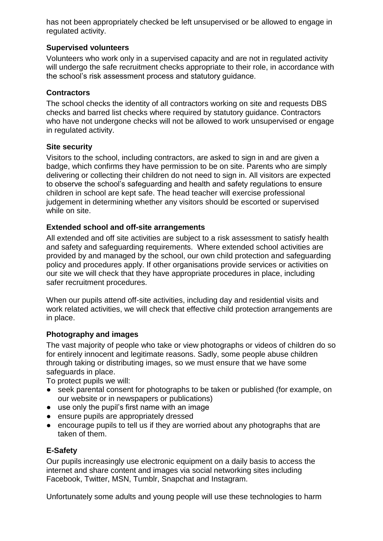has not been appropriately checked be left unsupervised or be allowed to engage in regulated activity.

### **Supervised volunteers**

Volunteers who work only in a supervised capacity and are not in regulated activity will undergo the safe recruitment checks appropriate to their role, in accordance with the school's risk assessment process and statutory guidance.

### **Contractors**

The school checks the identity of all contractors working on site and requests DBS checks and barred list checks where required by statutory guidance. Contractors who have not undergone checks will not be allowed to work unsupervised or engage in regulated activity.

### **Site security**

Visitors to the school, including contractors, are asked to sign in and are given a badge, which confirms they have permission to be on site. Parents who are simply delivering or collecting their children do not need to sign in. All visitors are expected to observe the school's safeguarding and health and safety regulations to ensure children in school are kept safe. The head teacher will exercise professional judgement in determining whether any visitors should be escorted or supervised while on site.

### **Extended school and off-site arrangements**

All extended and off site activities are subject to a risk assessment to satisfy health and safety and safeguarding requirements. Where extended school activities are provided by and managed by the school, our own child protection and safeguarding policy and procedures apply. If other organisations provide services or activities on our site we will check that they have appropriate procedures in place, including safer recruitment procedures.

When our pupils attend off-site activities, including day and residential visits and work related activities, we will check that effective child protection arrangements are in place.

# **Photography and images**

The vast majority of people who take or view photographs or videos of children do so for entirely innocent and legitimate reasons. Sadly, some people abuse children through taking or distributing images, so we must ensure that we have some safeguards in place.

To protect pupils we will:

- seek parental consent for photographs to be taken or published (for example, on our website or in newspapers or publications)
- use only the pupil's first name with an image
- ensure pupils are appropriately dressed
- encourage pupils to tell us if they are worried about any photographs that are taken of them.

# **E-Safety**

Our pupils increasingly use electronic equipment on a daily basis to access the internet and share content and images via social networking sites including Facebook, Twitter, MSN, Tumblr, Snapchat and Instagram.

Unfortunately some adults and young people will use these technologies to harm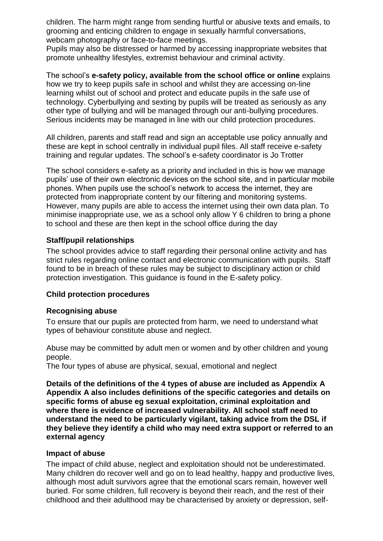children. The harm might range from sending hurtful or abusive texts and emails, to grooming and enticing children to engage in sexually harmful conversations, webcam photography or face-to-face meetings.

Pupils may also be distressed or harmed by accessing inappropriate websites that promote unhealthy lifestyles, extremist behaviour and criminal activity.

The school's **e-safety policy, available from the school office or online** explains how we try to keep pupils safe in school and whilst they are accessing on-line learning whilst out of school and protect and educate pupils in the safe use of technology. Cyberbullying and sexting by pupils will be treated as seriously as any other type of bullying and will be managed through our anti-bullying procedures. Serious incidents may be managed in line with our child protection procedures.

All children, parents and staff read and sign an acceptable use policy annually and these are kept in school centrally in individual pupil files. All staff receive e-safety training and regular updates. The school's e-safety coordinator is Jo Trotter

The school considers e-safety as a priority and included in this is how we manage pupils' use of their own electronic devices on the school site, and in particular mobile phones. When pupils use the school's network to access the internet, they are protected from inappropriate content by our filtering and monitoring systems. However, many pupils are able to access the internet using their own data plan. To minimise inappropriate use, we as a school only allow Y 6 children to bring a phone to school and these are then kept in the school office during the day

#### **Staff/pupil relationships**

The school provides advice to staff regarding their personal online activity and has strict rules regarding online contact and electronic communication with pupils. Staff found to be in breach of these rules may be subject to disciplinary action or child protection investigation. This guidance is found in the E-safety policy.

#### **Child protection procedures**

#### **Recognising abuse**

To ensure that our pupils are protected from harm, we need to understand what types of behaviour constitute abuse and neglect.

Abuse may be committed by adult men or women and by other children and young people.

The four types of abuse are physical, sexual, emotional and neglect

**Details of the definitions of the 4 types of abuse are included as Appendix A Appendix A also includes definitions of the specific categories and details on specific forms of abuse eg sexual exploitation, criminal exploitation and where there is evidence of increased vulnerability. All school staff need to understand the need to be particularly vigilant, taking advice from the DSL if they believe they identify a child who may need extra support or referred to an external agency** 

#### **Impact of abuse**

The impact of child abuse, neglect and exploitation should not be underestimated. Many children do recover well and go on to lead healthy, happy and productive lives, although most adult survivors agree that the emotional scars remain, however well buried. For some children, full recovery is beyond their reach, and the rest of their childhood and their adulthood may be characterised by anxiety or depression, self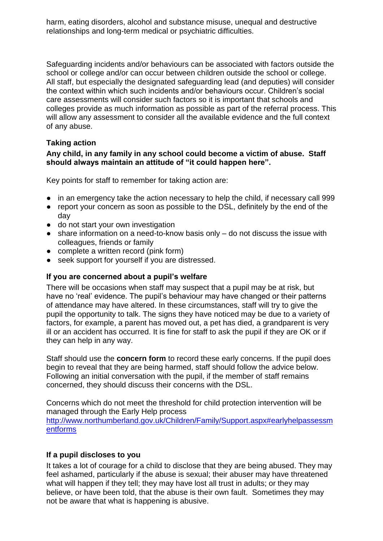harm, eating disorders, alcohol and substance misuse, unequal and destructive relationships and long-term medical or psychiatric difficulties.

Safeguarding incidents and/or behaviours can be associated with factors outside the school or college and/or can occur between children outside the school or college. All staff, but especially the designated safeguarding lead (and deputies) will consider the context within which such incidents and/or behaviours occur. Children's social care assessments will consider such factors so it is important that schools and colleges provide as much information as possible as part of the referral process. This will allow any assessment to consider all the available evidence and the full context of any abuse.

### **Taking action**

### **Any child, in any family in any school could become a victim of abuse. Staff should always maintain an attitude of "it could happen here".**

Key points for staff to remember for taking action are:

- in an emergency take the action necessary to help the child, if necessary call 999
- report your concern as soon as possible to the DSL, definitely by the end of the day
- do not start your own investigation
- share information on a need-to-know basis only do not discuss the issue with colleagues, friends or family
- complete a written record (pink form)
- seek support for yourself if you are distressed.

#### **If you are concerned about a pupil's welfare**

There will be occasions when staff may suspect that a pupil may be at risk, but have no 'real' evidence. The pupil's behaviour may have changed or their patterns of attendance may have altered. In these circumstances, staff will try to give the pupil the opportunity to talk. The signs they have noticed may be due to a variety of factors, for example, a parent has moved out, a pet has died, a grandparent is very ill or an accident has occurred. It is fine for staff to ask the pupil if they are OK or if they can help in any way.

Staff should use the **concern form** to record these early concerns. If the pupil does begin to reveal that they are being harmed, staff should follow the advice below. Following an initial conversation with the pupil, if the member of staff remains concerned, they should discuss their concerns with the DSL.

Concerns which do not meet the threshold for child protection intervention will be managed through the Early Help process

[http://www.northumberland.gov.uk/Children/Family/Support.aspx#earlyhelpassessm](http://www.northumberland.gov.uk/Children/Family/Support.aspx#earlyhelpassessmentforms) [entforms](http://www.northumberland.gov.uk/Children/Family/Support.aspx#earlyhelpassessmentforms)

#### **If a pupil discloses to you**

It takes a lot of courage for a child to disclose that they are being abused. They may feel ashamed, particularly if the abuse is sexual; their abuser may have threatened what will happen if they tell; they may have lost all trust in adults; or they may believe, or have been told, that the abuse is their own fault. Sometimes they may not be aware that what is happening is abusive.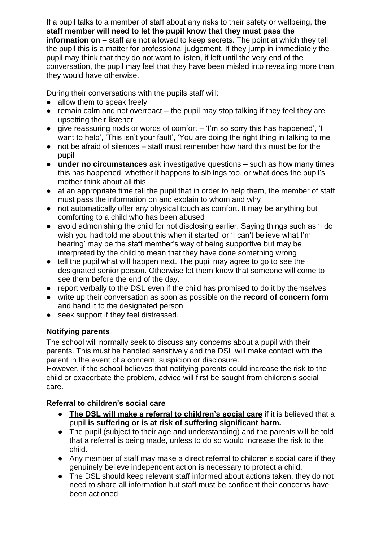If a pupil talks to a member of staff about any risks to their safety or wellbeing, **the staff member will need to let the pupil know that they must pass the information on** – staff are not allowed to keep secrets. The point at which they tell the pupil this is a matter for professional judgement. If they jump in immediately the pupil may think that they do not want to listen, if left until the very end of the conversation, the pupil may feel that they have been misled into revealing more than they would have otherwise.

During their conversations with the pupils staff will:

- allow them to speak freely
- $\bullet$  remain calm and not overreact the pupil may stop talking if they feel they are upsetting their listener
- give reassuring nods or words of comfort 'I'm so sorry this has happened', 'I want to help', 'This isn't your fault', 'You are doing the right thing in talking to me'
- not be afraid of silences staff must remember how hard this must be for the pupil
- **under no circumstances** ask investigative questions such as how many times this has happened, whether it happens to siblings too, or what does the pupil's mother think about all this
- at an appropriate time tell the pupil that in order to help them, the member of staff must pass the information on and explain to whom and why
- not automatically offer any physical touch as comfort. It may be anything but comforting to a child who has been abused
- avoid admonishing the child for not disclosing earlier. Saying things such as 'I do wish you had told me about this when it started' or 'I can't believe what I'm hearing' may be the staff member's way of being supportive but may be interpreted by the child to mean that they have done something wrong
- tell the pupil what will happen next. The pupil may agree to go to see the designated senior person. Otherwise let them know that someone will come to see them before the end of the day.
- report verbally to the DSL even if the child has promised to do it by themselves
- write up their conversation as soon as possible on the **record of concern form** and hand it to the designated person
- seek support if they feel distressed.

# **Notifying parents**

The school will normally seek to discuss any concerns about a pupil with their parents. This must be handled sensitively and the DSL will make contact with the parent in the event of a concern, suspicion or disclosure.

However, if the school believes that notifying parents could increase the risk to the child or exacerbate the problem, advice will first be sought from children's social care.

# **Referral to children's social care**

- **The DSL will make a referral to children's social care** if it is believed that a pupil **is suffering or is at risk of suffering significant harm.**
- The pupil (subject to their age and understanding) and the parents will be told that a referral is being made, unless to do so would increase the risk to the child.
- Any member of staff may make a direct referral to children's social care if they genuinely believe independent action is necessary to protect a child.
- The DSL should keep relevant staff informed about actions taken, they do not need to share all information but staff must be confident their concerns have been actioned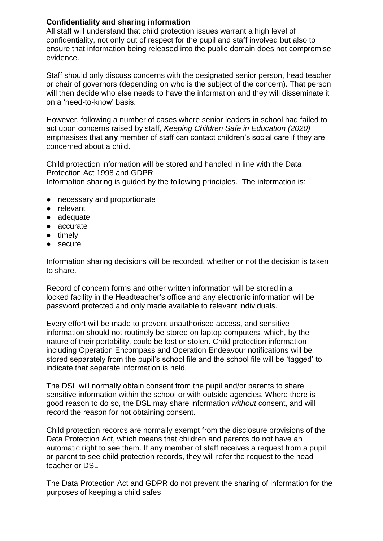# **Confidentiality and sharing information**

All staff will understand that child protection issues warrant a high level of confidentiality, not only out of respect for the pupil and staff involved but also to ensure that information being released into the public domain does not compromise evidence.

Staff should only discuss concerns with the designated senior person, head teacher or chair of governors (depending on who is the subject of the concern). That person will then decide who else needs to have the information and they will disseminate it on a 'need-to-know' basis.

However, following a number of cases where senior leaders in school had failed to act upon concerns raised by staff, *Keeping Children Safe in Education (2020)* emphasises that **any** member of staff can contact children's social care if they are concerned about a child.

Child protection information will be stored and handled in line with the Data Protection Act 1998 and GDPR Information sharing is guided by the following principles. The information is:

- necessary and proportionate
- relevant
- adequate
- accurate
- timely
- secure

Information sharing decisions will be recorded, whether or not the decision is taken to share.

Record of concern forms and other written information will be stored in a locked facility in the Headteacher's office and any electronic information will be password protected and only made available to relevant individuals.

Every effort will be made to prevent unauthorised access, and sensitive information should not routinely be stored on laptop computers, which, by the nature of their portability, could be lost or stolen. Child protection information, including Operation Encompass and Operation Endeavour notifications will be stored separately from the pupil's school file and the school file will be 'tagged' to indicate that separate information is held.

The DSL will normally obtain consent from the pupil and/or parents to share sensitive information within the school or with outside agencies. Where there is good reason to do so, the DSL may share information *without* consent, and will record the reason for not obtaining consent.

Child protection records are normally exempt from the disclosure provisions of the Data Protection Act, which means that children and parents do not have an automatic right to see them. If any member of staff receives a request from a pupil or parent to see child protection records, they will refer the request to the head teacher or DSL

The Data Protection Act and GDPR do not prevent the sharing of information for the purposes of keeping a child safes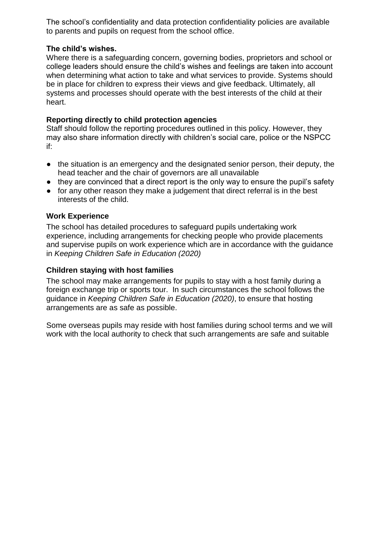The school's confidentiality and data protection confidentiality policies are available to parents and pupils on request from the school office.

#### **The child's wishes.**

Where there is a safeguarding concern, governing bodies, proprietors and school or college leaders should ensure the child's wishes and feelings are taken into account when determining what action to take and what services to provide. Systems should be in place for children to express their views and give feedback. Ultimately, all systems and processes should operate with the best interests of the child at their heart.

# **Reporting directly to child protection agencies**

Staff should follow the reporting procedures outlined in this policy. However, they may also share information directly with children's social care, police or the NSPCC if:

- the situation is an emergency and the designated senior person, their deputy, the head teacher and the chair of governors are all unavailable
- they are convinced that a direct report is the only way to ensure the pupil's safety
- for any other reason they make a judgement that direct referral is in the best interests of the child.

# **Work Experience**

The school has detailed procedures to safeguard pupils undertaking work experience, including arrangements for checking people who provide placements and supervise pupils on work experience which are in accordance with the guidance in *Keeping Children Safe in Education (2020)* 

# **Children staying with host families**

The school may make arrangements for pupils to stay with a host family during a foreign exchange trip or sports tour. In such circumstances the school follows the guidance in *Keeping Children Safe in Education (2020)*, to ensure that hosting arrangements are as safe as possible.

Some overseas pupils may reside with host families during school terms and we will work with the local authority to check that such arrangements are safe and suitable